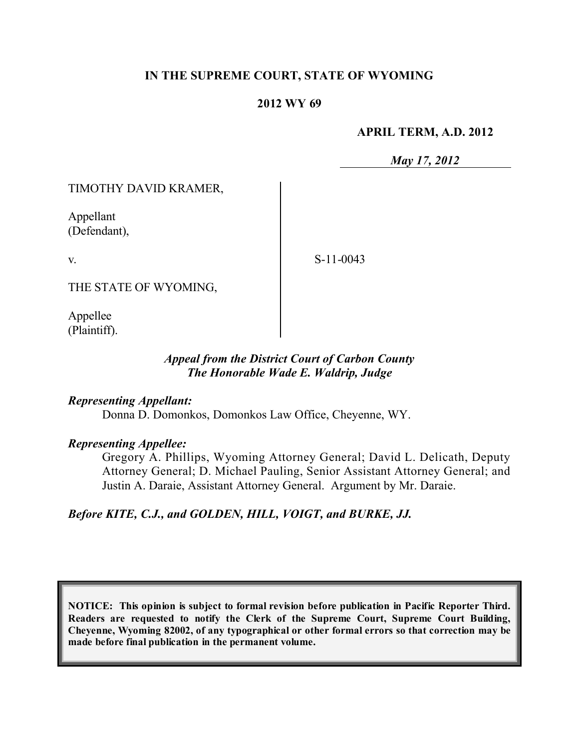# **IN THE SUPREME COURT, STATE OF WYOMING**

#### **2012 WY 69**

#### **APRIL TERM, A.D. 2012**

*May 17, 2012*

TIMOTHY DAVID KRAMER,

Appellant (Defendant),

v.

S-11-0043

THE STATE OF WYOMING,

Appellee (Plaintiff).

#### *Appeal from the District Court of Carbon County The Honorable Wade E. Waldrip, Judge*

*Representing Appellant:*

Donna D. Domonkos, Domonkos Law Office, Cheyenne, WY.

*Representing Appellee:*

Gregory A. Phillips, Wyoming Attorney General; David L. Delicath, Deputy Attorney General; D. Michael Pauling, Senior Assistant Attorney General; and Justin A. Daraie, Assistant Attorney General. Argument by Mr. Daraie.

*Before KITE, C.J., and GOLDEN, HILL, VOIGT, and BURKE, JJ.*

**NOTICE: This opinion is subject to formal revision before publication in Pacific Reporter Third. Readers are requested to notify the Clerk of the Supreme Court, Supreme Court Building, Cheyenne, Wyoming 82002, of any typographical or other formal errors so that correction may be made before final publication in the permanent volume.**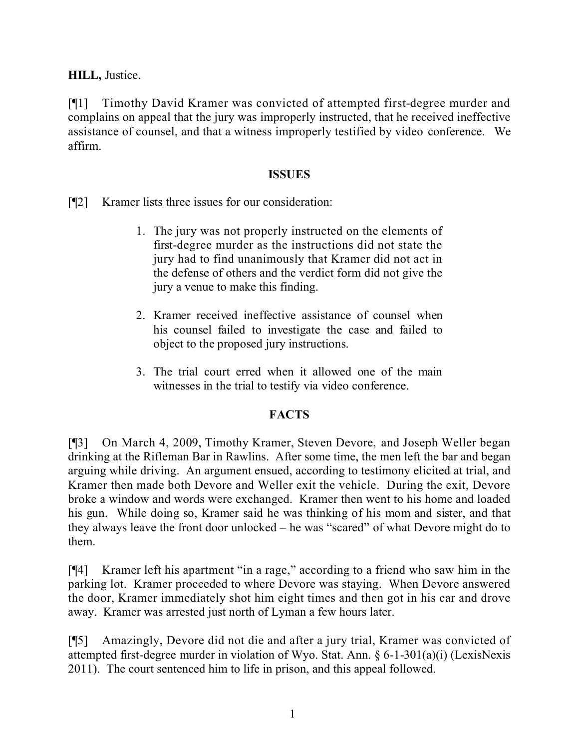**HILL,** Justice.

[¶1] Timothy David Kramer was convicted of attempted first-degree murder and complains on appeal that the jury was improperly instructed, that he received ineffective assistance of counsel, and that a witness improperly testified by video conference. We affirm.

### **ISSUES**

[¶2] Kramer lists three issues for our consideration:

- 1. The jury was not properly instructed on the elements of first-degree murder as the instructions did not state the jury had to find unanimously that Kramer did not act in the defense of others and the verdict form did not give the jury a venue to make this finding.
- 2. Kramer received ineffective assistance of counsel when his counsel failed to investigate the case and failed to object to the proposed jury instructions.
- 3. The trial court erred when it allowed one of the main witnesses in the trial to testify via video conference.

# **FACTS**

[¶3] On March 4, 2009, Timothy Kramer, Steven Devore, and Joseph Weller began drinking at the Rifleman Bar in Rawlins. After some time, the men left the bar and began arguing while driving. An argument ensued, according to testimony elicited at trial, and Kramer then made both Devore and Weller exit the vehicle. During the exit, Devore broke a window and words were exchanged. Kramer then went to his home and loaded his gun. While doing so, Kramer said he was thinking of his mom and sister, and that they always leave the front door unlocked – he was "scared" of what Devore might do to them.

[¶4] Kramer left his apartment "in a rage," according to a friend who saw him in the parking lot. Kramer proceeded to where Devore was staying. When Devore answered the door, Kramer immediately shot him eight times and then got in his car and drove away. Kramer was arrested just north of Lyman a few hours later.

[¶5] Amazingly, Devore did not die and after a jury trial, Kramer was convicted of attempted first-degree murder in violation of Wyo. Stat. Ann. § 6-1-301(a)(i) (LexisNexis 2011). The court sentenced him to life in prison, and this appeal followed.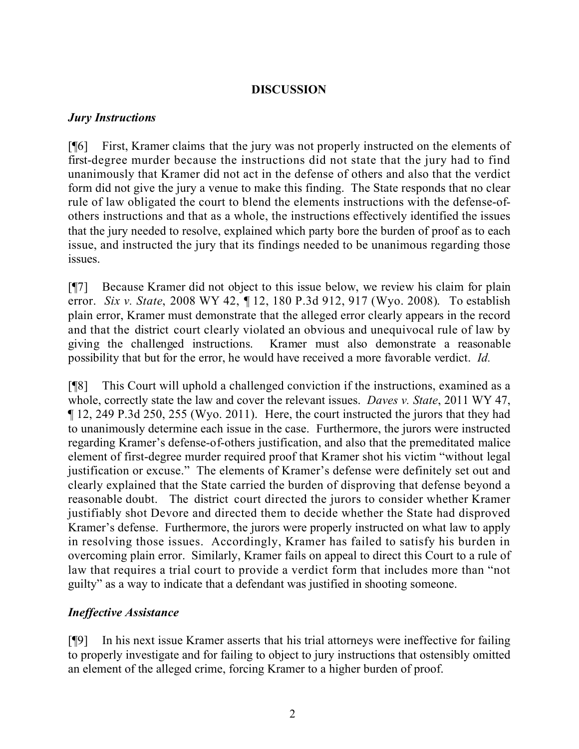# **DISCUSSION**

#### *Jury Instructions*

[¶6] First, Kramer claims that the jury was not properly instructed on the elements of first-degree murder because the instructions did not state that the jury had to find unanimously that Kramer did not act in the defense of others and also that the verdict form did not give the jury a venue to make this finding. The State responds that no clear rule of law obligated the court to blend the elements instructions with the defense-ofothers instructions and that as a whole, the instructions effectively identified the issues that the jury needed to resolve, explained which party bore the burden of proof as to each issue, and instructed the jury that its findings needed to be unanimous regarding those issues.

[¶7] Because Kramer did not object to this issue below, we review his claim for plain error. *Six v. State*, 2008 WY 42, ¶ 12, 180 P.3d 912, 917 (Wyo. 2008). To establish plain error, Kramer must demonstrate that the alleged error clearly appears in the record and that the district court clearly violated an obvious and unequivocal rule of law by giving the challenged instructions. Kramer must also demonstrate a reasonable possibility that but for the error, he would have received a more favorable verdict. *Id.*

[¶8] This Court will uphold a challenged conviction if the instructions, examined as a whole, correctly state the law and cover the relevant issues. *Daves v. State*, 2011 WY 47, ¶ 12, 249 P.3d 250, 255 (Wyo. 2011). Here, the court instructed the jurors that they had to unanimously determine each issue in the case. Furthermore, the jurors were instructed regarding Kramer's defense-of-others justification, and also that the premeditated malice element of first-degree murder required proof that Kramer shot his victim "without legal justification or excuse." The elements of Kramer's defense were definitely set out and clearly explained that the State carried the burden of disproving that defense beyond a reasonable doubt. The district court directed the jurors to consider whether Kramer justifiably shot Devore and directed them to decide whether the State had disproved Kramer's defense. Furthermore, the jurors were properly instructed on what law to apply in resolving those issues. Accordingly, Kramer has failed to satisfy his burden in overcoming plain error. Similarly, Kramer fails on appeal to direct this Court to a rule of law that requires a trial court to provide a verdict form that includes more than "not guilty" as a way to indicate that a defendant was justified in shooting someone.

# *Ineffective Assistance*

[¶9] In his next issue Kramer asserts that his trial attorneys were ineffective for failing to properly investigate and for failing to object to jury instructions that ostensibly omitted an element of the alleged crime, forcing Kramer to a higher burden of proof.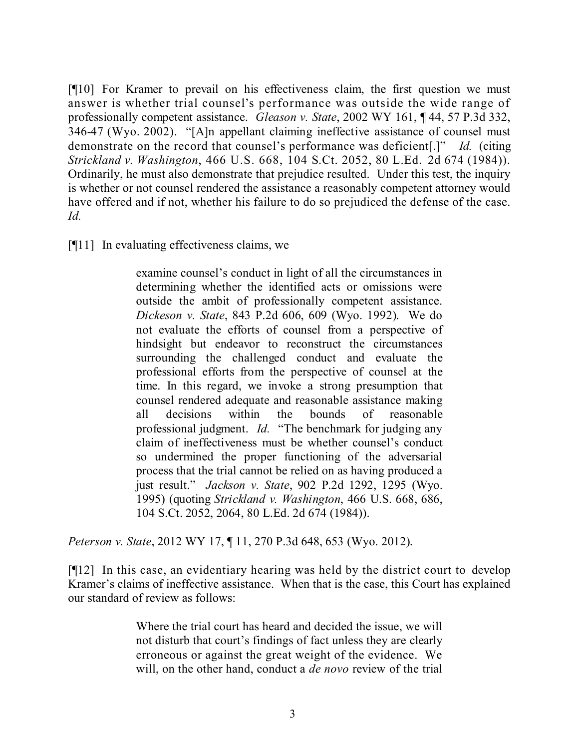[¶10] For Kramer to prevail on his effectiveness claim, the first question we must answer is whether trial counsel's performance was outside the wide range of professionally competent assistance. *Gleason v. State*, 2002 WY 161, ¶ 44, 57 P.3d 332, 346-47 (Wyo. 2002). "[A]n appellant claiming ineffective assistance of counsel must demonstrate on the record that counsel's performance was deficient[.]" *Id.* (citing *Strickland v. Washington*, 466 U.S. 668, 104 S.Ct. 2052, 80 L.Ed. 2d 674 (1984)). Ordinarily, he must also demonstrate that prejudice resulted. Under this test, the inquiry is whether or not counsel rendered the assistance a reasonably competent attorney would have offered and if not, whether his failure to do so prejudiced the defense of the case. *Id.*

[¶11] In evaluating effectiveness claims, we

examine counsel's conduct in light of all the circumstances in determining whether the identified acts or omissions were outside the ambit of professionally competent assistance. *Dickeson v. State*, 843 P.2d 606, 609 (Wyo. 1992). We do not evaluate the efforts of counsel from a perspective of hindsight but endeavor to reconstruct the circumstances surrounding the challenged conduct and evaluate the professional efforts from the perspective of counsel at the time. In this regard, we invoke a strong presumption that counsel rendered adequate and reasonable assistance making all decisions within the bounds of reasonable professional judgment. *Id.* "The benchmark for judging any claim of ineffectiveness must be whether counsel's conduct so undermined the proper functioning of the adversarial process that the trial cannot be relied on as having produced a just result." *Jackson v. State*, 902 P.2d 1292, 1295 (Wyo. 1995) (quoting *Strickland v. Washington*, 466 U.S. 668, 686, 104 S.Ct. 2052, 2064, 80 L.Ed. 2d 674 (1984)).

*Peterson v. State*, 2012 WY 17, ¶ 11, 270 P.3d 648, 653 (Wyo. 2012).

[¶12] In this case, an evidentiary hearing was held by the district court to develop Kramer's claims of ineffective assistance. When that is the case, this Court has explained our standard of review as follows:

> Where the trial court has heard and decided the issue, we will not disturb that court's findings of fact unless they are clearly erroneous or against the great weight of the evidence. We will, on the other hand, conduct a *de novo* review of the trial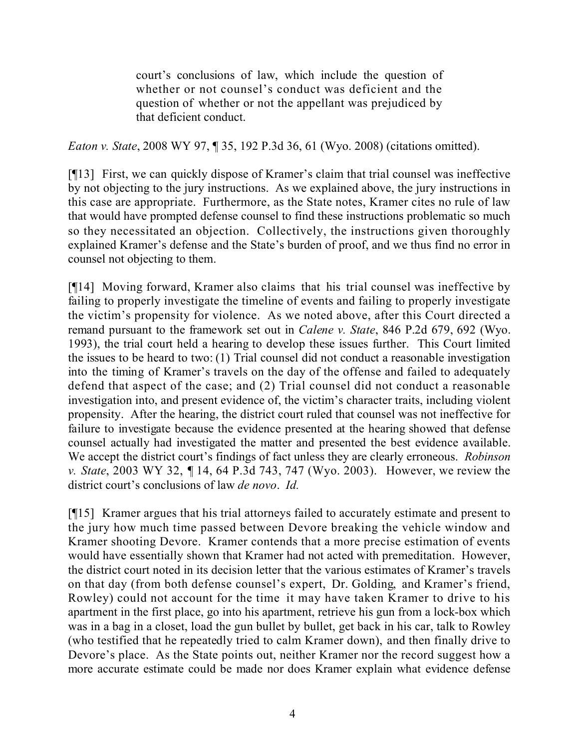court's conclusions of law, which include the question of whether or not counsel's conduct was deficient and the question of whether or not the appellant was prejudiced by that deficient conduct.

*Eaton v. State*, 2008 WY 97, ¶ 35, 192 P.3d 36, 61 (Wyo. 2008) (citations omitted).

[¶13] First, we can quickly dispose of Kramer's claim that trial counsel was ineffective by not objecting to the jury instructions. As we explained above, the jury instructions in this case are appropriate. Furthermore, as the State notes, Kramer cites no rule of law that would have prompted defense counsel to find these instructions problematic so much so they necessitated an objection. Collectively, the instructions given thoroughly explained Kramer's defense and the State's burden of proof, and we thus find no error in counsel not objecting to them.

[¶14] Moving forward, Kramer also claims that his trial counsel was ineffective by failing to properly investigate the timeline of events and failing to properly investigate the victim's propensity for violence. As we noted above, after this Court directed a remand pursuant to the framework set out in *Calene v. State*, 846 P.2d 679, 692 (Wyo. 1993), the trial court held a hearing to develop these issues further. This Court limited the issues to be heard to two: (1) Trial counsel did not conduct a reasonable investigation into the timing of Kramer's travels on the day of the offense and failed to adequately defend that aspect of the case; and (2) Trial counsel did not conduct a reasonable investigation into, and present evidence of, the victim's character traits, including violent propensity. After the hearing, the district court ruled that counsel was not ineffective for failure to investigate because the evidence presented at the hearing showed that defense counsel actually had investigated the matter and presented the best evidence available. We accept the district court's findings of fact unless they are clearly erroneous. *Robinson v. State*, 2003 WY 32, ¶ 14, 64 P.3d 743, 747 (Wyo. 2003). However, we review the district court's conclusions of law *de novo*. *Id.*

[¶15] Kramer argues that his trial attorneys failed to accurately estimate and present to the jury how much time passed between Devore breaking the vehicle window and Kramer shooting Devore. Kramer contends that a more precise estimation of events would have essentially shown that Kramer had not acted with premeditation. However, the district court noted in its decision letter that the various estimates of Kramer's travels on that day (from both defense counsel's expert, Dr. Golding, and Kramer's friend, Rowley) could not account for the time it may have taken Kramer to drive to his apartment in the first place, go into his apartment, retrieve his gun from a lock-box which was in a bag in a closet, load the gun bullet by bullet, get back in his car, talk to Rowley (who testified that he repeatedly tried to calm Kramer down), and then finally drive to Devore's place. As the State points out, neither Kramer nor the record suggest how a more accurate estimate could be made nor does Kramer explain what evidence defense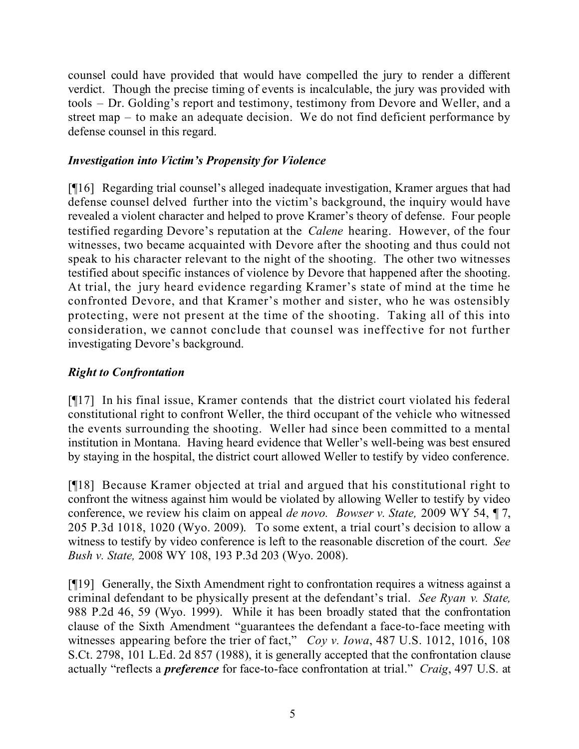counsel could have provided that would have compelled the jury to render a different verdict. Though the precise timing of events is incalculable, the jury was provided with tools – Dr. Golding's report and testimony, testimony from Devore and Weller, and a street map – to make an adequate decision. We do not find deficient performance by defense counsel in this regard.

# *Investigation into Victim's Propensity for Violence*

[¶16] Regarding trial counsel's alleged inadequate investigation, Kramer argues that had defense counsel delved further into the victim's background, the inquiry would have revealed a violent character and helped to prove Kramer's theory of defense. Four people testified regarding Devore's reputation at the *Calene* hearing. However, of the four witnesses, two became acquainted with Devore after the shooting and thus could not speak to his character relevant to the night of the shooting. The other two witnesses testified about specific instances of violence by Devore that happened after the shooting. At trial, the jury heard evidence regarding Kramer's state of mind at the time he confronted Devore, and that Kramer's mother and sister, who he was ostensibly protecting, were not present at the time of the shooting. Taking all of this into consideration, we cannot conclude that counsel was ineffective for not further investigating Devore's background.

# *Right to Confrontation*

[¶17] In his final issue, Kramer contends that the district court violated his federal constitutional right to confront Weller, the third occupant of the vehicle who witnessed the events surrounding the shooting. Weller had since been committed to a mental institution in Montana. Having heard evidence that Weller's well-being was best ensured by staying in the hospital, the district court allowed Weller to testify by video conference.

[¶18] Because Kramer objected at trial and argued that his constitutional right to confront the witness against him would be violated by allowing Weller to testify by video conference, we review his claim on appeal *de novo. Bowser v. State,* 2009 WY 54, ¶ 7, 205 P.3d 1018, 1020 (Wyo. 2009). To some extent, a trial court's decision to allow a witness to testify by video conference is left to the reasonable discretion of the court. *See Bush v. State,* 2008 WY 108, 193 P.3d 203 (Wyo. 2008).

[¶19] Generally, the Sixth Amendment right to confrontation requires a witness against a criminal defendant to be physically present at the defendant's trial. *See Ryan v. State,* 988 P.2d 46, 59 (Wyo. 1999). While it has been broadly stated that the confrontation clause of the Sixth Amendment "guarantees the defendant a face-to-face meeting with witnesses appearing before the trier of fact," *Coy v. Iowa*, 487 U.S. 1012, 1016, 108 S.Ct. 2798, 101 L.Ed. 2d 857 (1988), it is generally accepted that the confrontation clause actually "reflects a *preference* for face-to-face confrontation at trial." *Craig*, 497 U.S. at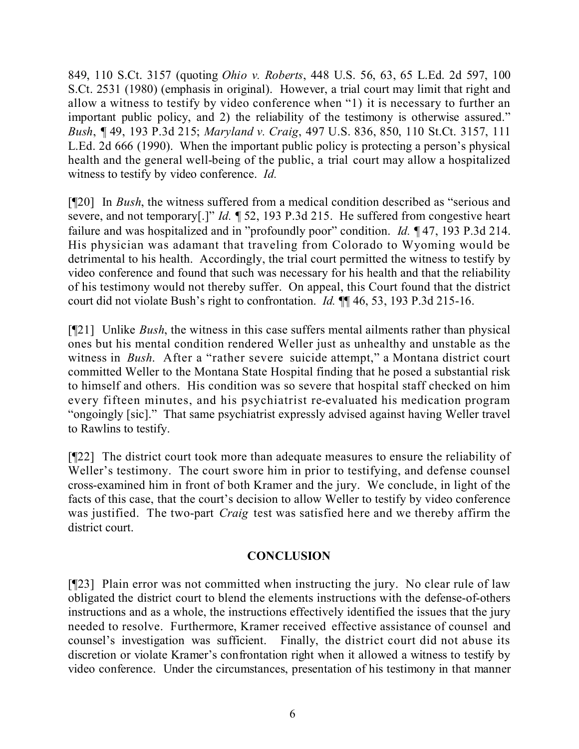849, 110 S.Ct. 3157 (quoting *Ohio v. Roberts*, 448 U.S. 56, 63, 65 L.Ed. 2d 597, 100 S.Ct. 2531 (1980) (emphasis in original). However, a trial court may limit that right and allow a witness to testify by video conference when "1) it is necessary to further an important public policy, and 2) the reliability of the testimony is otherwise assured." *Bush*, *¶* 49, 193 P.3d 215; *Maryland v. Craig*, 497 U.S. 836, 850, 110 St.Ct. 3157, 111 L.Ed. 2d 666 (1990). When the important public policy is protecting a person's physical health and the general well-being of the public, a trial court may allow a hospitalized witness to testify by video conference. *Id.*

[¶20] In *Bush*, the witness suffered from a medical condition described as "serious and severe, and not temporary[.]" *Id.* ¶ 52, 193 P.3d 215. He suffered from congestive heart failure and was hospitalized and in "profoundly poor" condition. *Id.* ¶ 47, 193 P.3d 214. His physician was adamant that traveling from Colorado to Wyoming would be detrimental to his health. Accordingly, the trial court permitted the witness to testify by video conference and found that such was necessary for his health and that the reliability of his testimony would not thereby suffer. On appeal, this Court found that the district court did not violate Bush's right to confrontation. *Id.* ¶¶ 46, 53, 193 P.3d 215-16.

[¶21] Unlike *Bush*, the witness in this case suffers mental ailments rather than physical ones but his mental condition rendered Weller just as unhealthy and unstable as the witness in *Bush*. After a "rather severe suicide attempt," a Montana district court committed Weller to the Montana State Hospital finding that he posed a substantial risk to himself and others. His condition was so severe that hospital staff checked on him every fifteen minutes, and his psychiatrist re-evaluated his medication program "ongoingly [sic]." That same psychiatrist expressly advised against having Weller travel to Rawlins to testify.

[¶22] The district court took more than adequate measures to ensure the reliability of Weller's testimony. The court swore him in prior to testifying, and defense counsel cross-examined him in front of both Kramer and the jury. We conclude, in light of the facts of this case, that the court's decision to allow Weller to testify by video conference was justified. The two-part *Craig* test was satisfied here and we thereby affirm the district court.

# **CONCLUSION**

[¶23] Plain error was not committed when instructing the jury. No clear rule of law obligated the district court to blend the elements instructions with the defense-of-others instructions and as a whole, the instructions effectively identified the issues that the jury needed to resolve. Furthermore, Kramer received effective assistance of counsel and counsel's investigation was sufficient. Finally, the district court did not abuse its discretion or violate Kramer's confrontation right when it allowed a witness to testify by video conference. Under the circumstances, presentation of his testimony in that manner